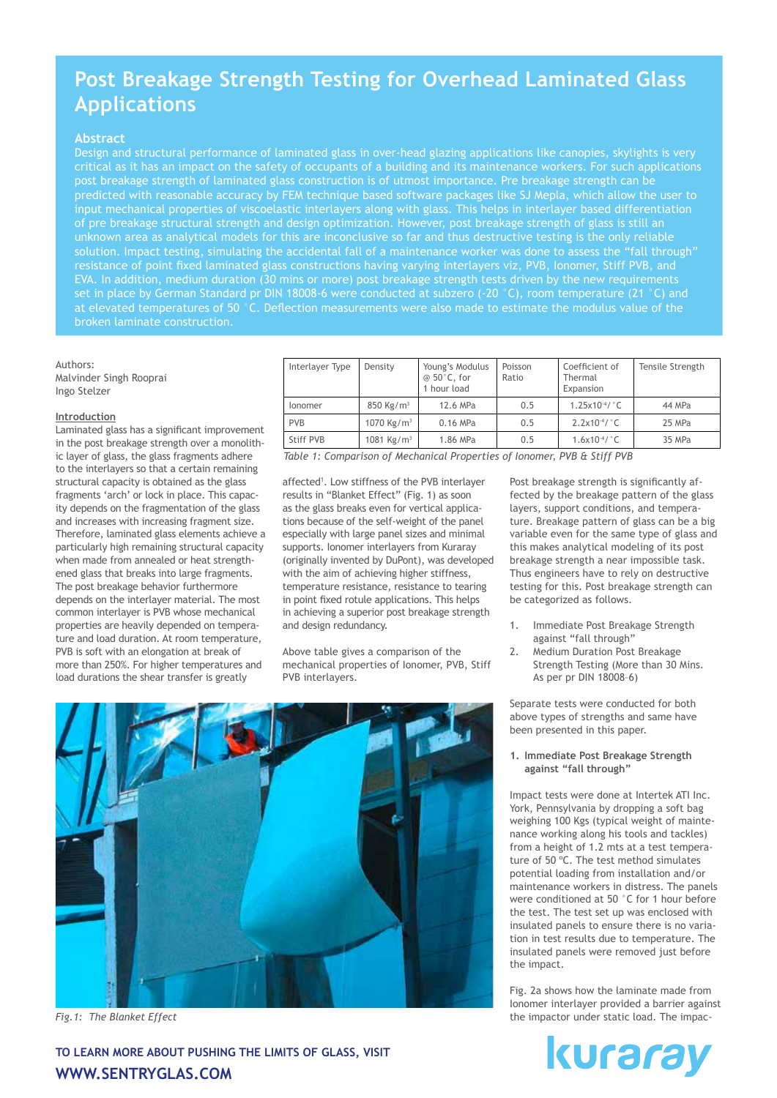# **Post Breakage Strength Testing for Overhead Laminated Glass Applications**

#### **Abstract**

Design and structural performance of laminated glass in over-head glazing applications like canopies, skylights is very critical as it has an impact on the safety of occupants of a building and its maintenance workers. For such applications post breakage strength of laminated glass construction is of utmost importance. Pre breakage strength can be predicted with reasonable accuracy by FEM technique based software packages like SJ Mepla, which allow the user to input mechanical properties of viscoelastic interlayers along with glass. This helps in interlayer based differentiation of pre breakage structural strength and design optimization. However, post breakage strength of glass is still an unknown area as analytical models for this are inconclusive so far and thus destructive testing is the only reliable solution. Impact testing, simulating the accidental fall of a maintenance worker was done to assess the "fall through" resistance of point fixed laminated glass constructions having varying interlayers viz, PVB, Ionomer, Stiff PVB, and EVA. In addition, medium duration (30 mins or more) post breakage strength tests driven by the new requirements set in place by German Standard pr DIN 18008-6 were conducted at subzero (-20 °C), room temperature (21 °C) and

Authors: Malvinder Singh Rooprai Ingo Stelzer

#### **Introduction**

Laminated glass has a significant improvement in the post breakage strength over a monolithic layer of glass, the glass fragments adhere to the interlayers so that a certain remaining structural capacity is obtained as the glass fragments 'arch' or lock in place. This capacity depends on the fragmentation of the glass and increases with increasing fragment size. Therefore, laminated glass elements achieve a particularly high remaining structural capacity when made from annealed or heat strengthened glass that breaks into large fragments. The post breakage behavior furthermore depends on the interlayer material. The most common interlayer is PVB whose mechanical properties are heavily depended on temperature and load duration. At room temperature, PVB is soft with an elongation at break of more than 250%. For higher temperatures and load durations the shear transfer is greatly

| Interlayer Type                                                          | Density                | Young's Modulus<br>$@50^\circ$ C, for<br>1 hour load | Poisson<br>Ratio | Coefficient of<br>Thermal<br>Expansion | Tensile Strength |
|--------------------------------------------------------------------------|------------------------|------------------------------------------------------|------------------|----------------------------------------|------------------|
| <i>lonomer</i>                                                           | 850 Kg/m <sup>3</sup>  | 12.6 MPa                                             | 0.5              | $1.25x10^{-4}$ / °C                    | 44 MPa           |
| <b>PVB</b>                                                               | 1070 Kg/m <sup>3</sup> | $0.16$ MPa                                           | 0.5              | $2.2x10^{-4}$ / °C                     | 25 MPa           |
| Stiff PVB                                                                | 1081 Kg/m <sup>3</sup> | 1.86 MPa                                             | 0.5              | $1.6x10^{-4}$ /°C                      | 35 MPa           |
| Table 1: Comparison of Machanical Droportias of Ionomor, DVD G Ctiff DVD |                        |                                                      |                  |                                        |                  |

*Table 1: Comparison of Mechanical Properties of Ionomer, PVB & Stiff PVB*

affected<sup>1</sup>. Low stiffness of the PVB interlayer results in "Blanket Effect" (Fig. 1) as soon as the glass breaks even for vertical applications because of the self-weight of the panel especially with large panel sizes and minimal supports. Ionomer interlayers from Kuraray (originally invented by DuPont), was developed with the aim of achieving higher stiffness, temperature resistance, resistance to tearing in point fixed rotule applications. This helps in achieving a superior post breakage strength and design redundancy.

Above table gives a comparison of the mechanical properties of Ionomer, PVB, Stiff PVB interlayers.

Post breakage strength is significantly affected by the breakage pattern of the glass layers, support conditions, and temperature. Breakage pattern of glass can be a big variable even for the same type of glass and this makes analytical modeling of its post breakage strength a near impossible task. Thus engineers have to rely on destructive testing for this. Post breakage strength can be categorized as follows.

- 1. Immediate Post Breakage Strength against "fall through"
- 2. Medium Duration Post Breakage Strength Testing (More than 30 Mins. As per pr DIN 18008–6)

Separate tests were conducted for both above types of strengths and same have been presented in this paper.

**1. Immediate Post Breakage Strength against "fall through"**

Impact tests were done at Intertek ATI Inc. York, Pennsylvania by dropping a soft bag weighing 100 Kgs (typical weight of maintenance working along his tools and tackles) from a height of 1.2 mts at a test temperature of 50 ºC. The test method simulates potential loading from installation and/or maintenance workers in distress. The panels were conditioned at 50 °C for 1 hour before the test. The test set up was enclosed with insulated panels to ensure there is no variation in test results due to temperature. The insulated panels were removed just before the impact.

Fig. 2a shows how the laminate made from Ionomer interlayer provided a barrier against the impactor under static load. The impac-



*Fig.1: The Blanket Effect*

**To learn more about pushing the limits of glass, visit www.sentryglas.com**

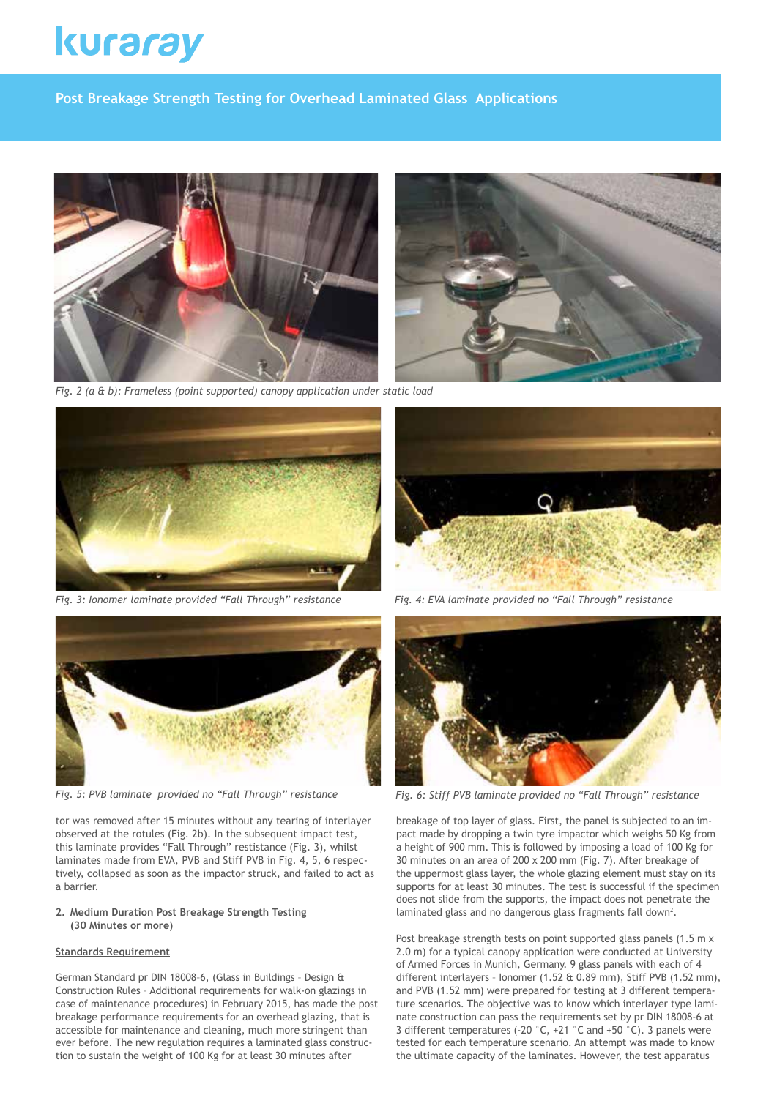# kuraray

**Post Breakage Strength Testing for Overhead Laminated Glass Applications**





*Fig. 2 (a & b): Frameless (point supported) canopy application under static load*





*Fig. 5: PVB laminate provided no "Fall Through" resistance* 

tor was removed after 15 minutes without any tearing of interlayer observed at the rotules (Fig. 2b). In the subsequent impact test, this laminate provides "Fall Through" restistance (Fig. 3), whilst laminates made from EVA, PVB and Stiff PVB in Fig. 4, 5, 6 respectively, collapsed as soon as the impactor struck, and failed to act as a barrier.

### **2. Medium Duration Post Breakage Strength Testing (30 Minutes or more)**

#### **Standards Requirement**

German Standard pr DIN 18008–6, (Glass in Buildings – Design & Construction Rules – Additional requirements for walk-on glazings in case of maintenance procedures) in February 2015, has made the post breakage performance requirements for an overhead glazing, that is accessible for maintenance and cleaning, much more stringent than ever before. The new regulation requires a laminated glass construction to sustain the weight of 100 Kg for at least 30 minutes after



*Fig. 4: EVA laminate provided no "Fall Through" resistance*



*Fig. 6: Stiff PVB laminate provided no "Fall Through" resistance*

breakage of top layer of glass. First, the panel is subjected to an impact made by dropping a twin tyre impactor which weighs 50 Kg from a height of 900 mm. This is followed by imposing a load of 100 Kg for 30 minutes on an area of 200 x 200 mm (Fig. 7). After breakage of the uppermost glass layer, the whole glazing element must stay on its supports for at least 30 minutes. The test is successful if the specimen does not slide from the supports, the impact does not penetrate the laminated glass and no dangerous glass fragments fall down<sup>2</sup>.

Post breakage strength tests on point supported glass panels (1.5 m x 2.0 m) for a typical canopy application were conducted at University of Armed Forces in Munich, Germany. 9 glass panels with each of 4 different interlayers – Ionomer (1.52 & 0.89 mm), Stiff PVB (1.52 mm), and PVB (1.52 mm) were prepared for testing at 3 different temperature scenarios. The objective was to know which interlayer type laminate construction can pass the requirements set by pr DIN 18008-6 at 3 different temperatures (-20  $^{\circ}$ C, +21  $^{\circ}$ C and +50  $^{\circ}$ C). 3 panels were tested for each temperature scenario. An attempt was made to know the ultimate capacity of the laminates. However, the test apparatus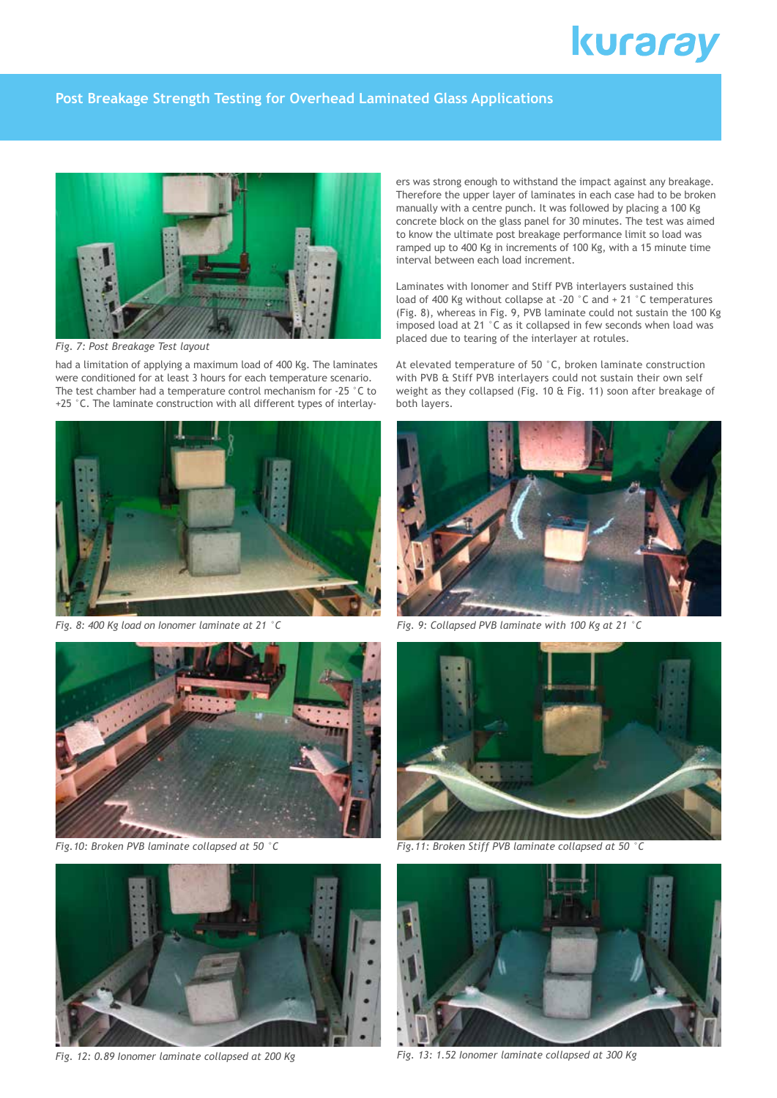# kuraray

## **Post Breakage Strength Testing for Overhead Laminated Glass Applications**



*Fig. 7: Post Breakage Test layout*

had a limitation of applying a maximum load of 400 Kg. The laminates were conditioned for at least 3 hours for each temperature scenario. The test chamber had a temperature control mechanism for -25 °C to +25 °C. The laminate construction with all different types of interlay-



*Fig. 8: 400 Kg load on Ionomer laminate at 21 °C* 



*Fig.10: Broken PVB laminate collapsed at 50 °C*



*Fig. 12: 0.89 Ionomer laminate collapsed at 200 Kg*

ers was strong enough to withstand the impact against any breakage. Therefore the upper layer of laminates in each case had to be broken manually with a centre punch. It was followed by placing a 100 Kg concrete block on the glass panel for 30 minutes. The test was aimed to know the ultimate post breakage performance limit so load was ramped up to 400 Kg in increments of 100 Kg, with a 15 minute time interval between each load increment.

Laminates with Ionomer and Stiff PVB interlayers sustained this load of 400 Kg without collapse at -20 °C and + 21 °C temperatures (Fig. 8), whereas in Fig. 9, PVB laminate could not sustain the 100 Kg imposed load at 21 °C as it collapsed in few seconds when load was placed due to tearing of the interlayer at rotules.

At elevated temperature of 50 °C, broken laminate construction with PVB & Stiff PVB interlayers could not sustain their own self weight as they collapsed (Fig. 10 & Fig. 11) soon after breakage of both layers.



*Fig. 9: Collapsed PVB laminate with 100 Kg at 21 °C*



*Fig.11: Broken Stiff PVB laminate collapsed at 50 °C*



*Fig. 13: 1.52 Ionomer laminate collapsed at 300 Kg*